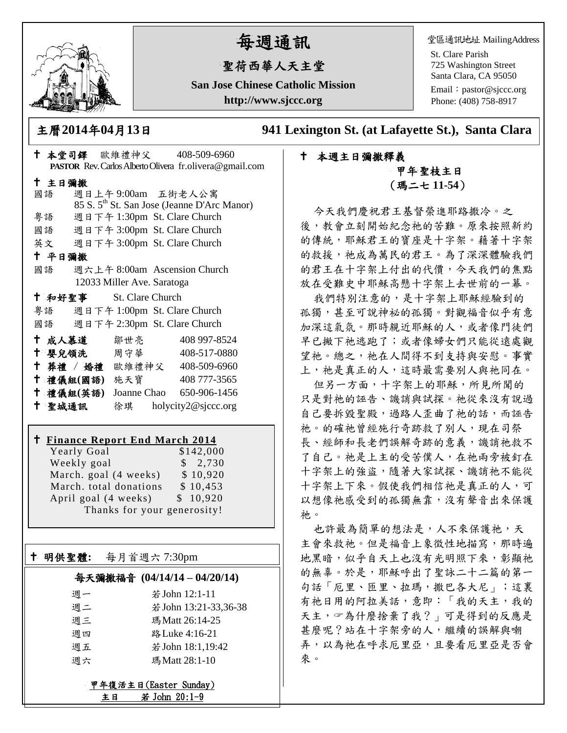

# 每週通訊

# 聖荷西華人天主堂

**San Jose Chinese Catholic Mission http://www.sjccc.org**

堂區通訊地址 MailingAddress

St. Clare Parish 725 Washington Street Santa Clara, CA 95050

Email: [pastor@sjccc.org](mailto:pastor@sjccc.org) Phone: (408) 758-8917

主曆**2014**年**04**月**13**日 **941 Lexington St. (at Lafayette St.), Santa Clara** 

## 本堂司鐸 歐維禮神父 408-509-6960 **PASTOR** Rev. Carlos Alberto Olivera fr.olivera@gmail.com 主日彌撒 國語 週日上午 9:00am 五街老人公寓 85 S. 5th St. San Jose (Jeanne D'Arc Manor) 粵語 週日下午 1:30pm St. Clare Church 國語 週日下午 3:00pm St. Clare Church 英文 週日下午 3:00pm St. Clare Church 平日彌撒 國語 週六上午 8:00am Ascension Church 12033 Miller Ave. Saratoga 和好聖事 St. Clare Church 粵語 週日下午 1:00pm St. Clare Church 國語 週日下午 2:30pm St. Clare Church 成人慕道 鄒世亮 408 997-8524 十 嬰兒領洗 周守華 408-517-0880 葬禮 / 婚禮 歐維禮神父 408-509-6960 禮儀組**(**國語**)** 施天寶 408 777-3565 禮儀組**(**英語**)** Joanne Chao 650-906-1456 聖城通訊 徐琪 holycity2@sjccc.org

### **Finance Report End March 2014**

Yearly Goal \$142,000 Weekly goal \$ 2,730 March. goal  $(4 \text{ weeks}) \qquad $10,920$ March. total donations \$10,453 April goal  $(4 \text{ weeks})$   $\qquad$  \$ 10,920 Thanks for your generosity!

明供聖體**:** 每月首週六 7:30pm

Ξ

### 每天彌撒福音 **(04/14/14 – 04/20/14)**

| 调一 | 若 John 12:1-11        |
|----|-----------------------|
| 週二 | 若 John 13:21-33,36-38 |
| 週三 | 瑪 Matt 26:14-25       |
| 调四 | 路 Luke 4:16-21        |
| 週五 | 若 John 18:1,19:42     |
| 调六 | 瑪Matt 28:1-10         |

甲年復活主日(Easter Sunday) 主日 若 John 20:1-9

# 本週主日彌撒釋義 甲年 聖枝主日 (瑪二七 **11-54**)

今天我們慶祝君王基督榮進耶路撒冷。之 後,教會立刻開始紀念祂的苦難。原來按照新約 的傳統,耶穌君王的寶座是十字架。藉著十字架 的救援,祂成為萬民的君王。為了深深體驗我們 的君王在十字架上付出的代價,今天我們的焦點 放在受難史中耶穌高懸十字架上去世前的一幕。

我們特別注意的,是十字架上耶穌經驗到的 孤獨,甚至可說神祕的孤獨。對觀福音似乎有意 加深這氣氛。那時親近耶穌的人,或者像門徒們 早已撇下祂逃跑了;或者像婦女們只能從遠處觀 望祂。總之,祂在人間得不到支持與安慰。事實 上, 祂是真正的人,這時最需要別人與祂同在。

但另一方面,十字架上的耶穌,所見所聞的 只是對祂的誣告、譏誚與試探。祂從來沒有說過 自己要拆毀聖殿,過路人歪曲了祂的話,而誣告 祂。的確祂曾經施行奇跡救了別人,現在司祭 長、經師和長老們誤解奇跡的意義,譏誚祂救不 了自己。祂是上主的受苦僕人,在祂兩旁被釘在 十字架上的強盜,隨著大家試探、譏誚祂不能從 十字架上下來。假使我們相信祂是真正的人,可 以想像祂感受到的孤獨無靠,沒有聲音出來保護 祂。

也許最為簡單的想法是,人不來保護祂,天 主會來救祂。但是福音上象徵性地描寫,那時遍 地黑暗,似乎自天上也沒有光明照下來,彰顯祂 的無辜。於是,耶穌呼出了聖詠二十二篇的第一 句話「厄里、匝里、拉瑪,撒巴各大尼」;這裏 有祂日用的阿拉美話,意即:「我的天主,我的 天主, 空為什麼捨棄了我?」可是得到的反應是 甚麼呢?站在十字架旁的人,繼續的誤解與嘲 弄,以為祂在呼求厄里亞,且要看厄里亞是否會 來。